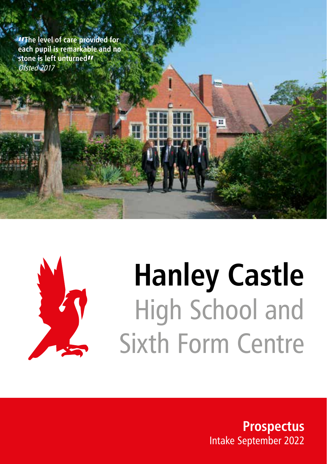**"The level of care provided for each pupil is remarkable and no stone is left unturned"** Ofsted 2017



# **Hanley Castle** High School and Sixth Form Centre

m

**Prospectus** Intake September 2022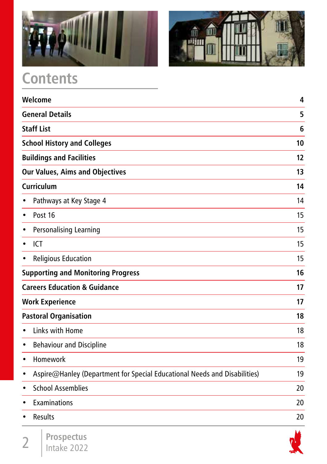



# **Contents**

| Welcome                                                                                | 4  |
|----------------------------------------------------------------------------------------|----|
| <b>General Details</b>                                                                 | 5  |
| <b>Staff List</b>                                                                      | 6  |
| <b>School History and Colleges</b>                                                     | 10 |
| <b>Buildings and Facilities</b>                                                        | 12 |
| <b>Our Values, Aims and Objectives</b>                                                 | 13 |
| Curriculum                                                                             | 14 |
| Pathways at Key Stage 4                                                                | 14 |
| Post 16<br>$\bullet$                                                                   | 15 |
| Personalising Learning<br>٠                                                            | 15 |
| ICT<br>٠                                                                               | 15 |
| <b>Religious Education</b><br>٠                                                        | 15 |
| <b>Supporting and Monitoring Progress</b>                                              | 16 |
| <b>Careers Education &amp; Guidance</b>                                                | 17 |
| <b>Work Experience</b>                                                                 | 17 |
| <b>Pastoral Organisation</b>                                                           | 18 |
| Links with Home<br>$\bullet$                                                           | 18 |
| <b>Behaviour and Discipline</b><br>٠                                                   | 18 |
| Homework<br>$\bullet$                                                                  | 19 |
| Aspire@Hanley (Department for Special Educational Needs and Disabilities)<br>$\bullet$ | 19 |
| <b>School Assemblies</b><br>$\bullet$                                                  | 20 |
| Examinations<br>$\bullet$                                                              | 20 |
| Results                                                                                | 20 |

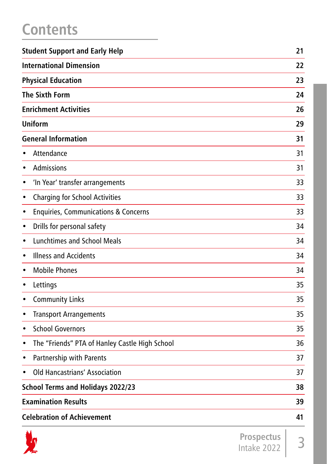# **Contents**

|           | <b>Student Support and Early Help</b>           |                   | 21 |
|-----------|-------------------------------------------------|-------------------|----|
|           | <b>International Dimension</b>                  |                   | 22 |
|           | <b>Physical Education</b>                       |                   | 23 |
|           | <b>The Sixth Form</b>                           |                   | 24 |
|           | <b>Enrichment Activities</b>                    |                   | 26 |
|           | <b>Uniform</b>                                  |                   | 29 |
|           | <b>General Information</b>                      |                   | 31 |
|           | Attendance                                      |                   | 31 |
| $\bullet$ | Admissions                                      |                   | 31 |
| $\bullet$ | 'In Year' transfer arrangements                 |                   | 33 |
| $\bullet$ | <b>Charging for School Activities</b>           |                   | 33 |
| $\bullet$ | <b>Enquiries, Communications &amp; Concerns</b> |                   | 33 |
| $\bullet$ | Drills for personal safety                      |                   | 34 |
| $\bullet$ | <b>Lunchtimes and School Meals</b>              |                   | 34 |
| $\bullet$ | <b>Illness and Accidents</b>                    |                   | 34 |
| $\bullet$ | <b>Mobile Phones</b>                            |                   | 34 |
| $\bullet$ | Lettings                                        |                   | 35 |
| ٠         | <b>Community Links</b>                          |                   | 35 |
| $\bullet$ | <b>Transport Arrangements</b>                   |                   | 35 |
| $\bullet$ | <b>School Governors</b>                         |                   | 35 |
| $\bullet$ | The "Friends" PTA of Hanley Castle High School  |                   | 36 |
| $\bullet$ | Partnership with Parents                        |                   | 37 |
|           | Old Hancastrians' Association                   |                   | 37 |
|           | <b>School Terms and Holidays 2022/23</b>        |                   | 38 |
|           | <b>Examination Results</b>                      |                   | 39 |
|           | <b>Celebration of Achievement</b>               |                   | 41 |
|           | n                                               | <b>Prospectus</b> |    |

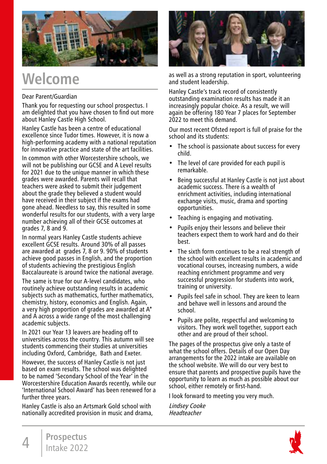

# **Welcome**

#### Dear Parent/Guardian

Thank you for requesting our school prospectus. I am delighted that you have chosen to find out more about Hanley Castle High School.

Hanley Castle has been a centre of educational excellence since Tudor times. However, it is now a high-performing academy with a national reputation for innovative practice and state of the art facilities.

In common with other Worcestershire schools, we will not be publishing our GCSE and A Level results for 2021 due to the unique manner in which these grades were awarded. Parents will recall that teachers were asked to submit their judgement about the grade they believed a student would have received in their subject if the exams had gone ahead. Needless to say, this resulted in some wonderful results for our students, with a very large number achieving all of their GCSE outcomes at grades  $7, 8$  and  $9.$ 

In normal years Hanley Castle students achieve excellent GCSE results. Around 30% of all passes are awarded at grades 7, 8 or 9. 90% of students achieve good passes in English, and the proportion of students achieving the prestigious English Baccalaureate is around twice the national average.

The same is true for our A-level candidates, who routinely achieve outstanding results in academic subjects such as mathematics, further mathematics, chemistry, history, economics and English. Again, a very high proportion of grades are awarded at A\* and A across a wide range of the most challenging academic subjects.

In 2021 our Year 13 leavers are heading off to universities across the country. This autumn will see students commencing their studies at universities including Oxford, Cambridge, Bath and Exeter.

However, the success of Hanley Castle is not just based on exam results. The school was delighted to be named 'Secondary School of the Year' in the Worcestershire Education Awards recently, while our 'International School Award' has been renewed for a further three years.

Hanley Castle is also an Artsmark Gold school with nationally accredited provision in music and drama,



as well as a strong reputation in sport, volunteering and student leadership.

Hanley Castle's track record of consistently outstanding examination results has made it an increasingly popular choice. As a result, we will again be offering 180 Year 7 places for September 2022 to meet this demand.

Our most recent Ofsted report is full of praise for the school and its students:

- The school is passionate about success for every child.
- The level of care provided for each pupil is remarkable.
- Being successful at Hanley Castle is not just about academic success. There is a wealth of enrichment activities, including international exchange visits, music, drama and sporting opportunities.
- Teaching is engaging and motivating.
- Pupils enjoy their lessons and believe their teachers expect them to work hard and do their best.
- The sixth form continues to be a real strength of the school with excellent results in academic and vocational courses, increasing numbers, a wide reaching enrichment programme and very successful progression for students into work, training or university.
- Pupils feel safe in school. They are keen to learn and behave well in lessons and around the school.
- Pupils are polite, respectful and welcoming to visitors. They work well together, support each other and are proud of their school.

The pages of the prospectus give only a taste of what the school offers. Details of our Open Day arrangements for the 2022 intake are available on the school website. We will do our very best to ensure that parents and prospective pupils have the opportunity to learn as much as possible about our school, either remotely or first-hand.

I look forward to meeting you very much.

Lindsey Cooke **Headteacher** 

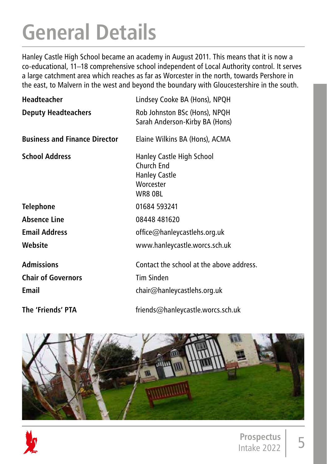# **General Details**

Hanley Castle High School became an academy in August 2011. This means that it is now a co-educational, 11–18 comprehensive school independent of Local Authority control. It serves a large catchment area which reaches as far as Worcester in the north, towards Pershore in the east, to Malvern in the west and beyond the boundary with Gloucestershire in the south.

| Headteacher                          | Lindsey Cooke BA (Hons), NPQH                                                           |
|--------------------------------------|-----------------------------------------------------------------------------------------|
| <b>Deputy Headteachers</b>           | Rob Johnston BSc (Hons), NPQH<br>Sarah Anderson-Kirby BA (Hons)                         |
| <b>Business and Finance Director</b> | Elaine Wilkins BA (Hons), ACMA                                                          |
| <b>School Address</b>                | Hanley Castle High School<br>Church End<br><b>Hanley Castle</b><br>Worcester<br>WR8 OBL |
| <b>Telephone</b>                     | 01684 593241                                                                            |
| Absence Line                         | 08448 481620                                                                            |
| <b>Email Address</b>                 | office@hanleycastlehs.org.uk                                                            |
| Website                              | www.hanleycastle.worcs.sch.uk                                                           |
| <b>Admissions</b>                    | Contact the school at the above address.                                                |
| <b>Chair of Governors</b>            | Tim Sinden                                                                              |
| Email                                | chair@hanleycastlehs.org.uk                                                             |
| The 'Friends' PTA                    | friends@hanleycastle.worcs.sch.uk                                                       |



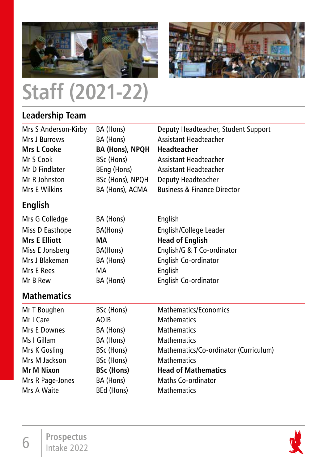



# **Staff (2021-22)**

# **Leadership Team**

| Mrs S Anderson-Kirby | BA (Hons)              | Deputy Headteacher, Student Support    |
|----------------------|------------------------|----------------------------------------|
| Mrs J Burrows        | BA (Hons)              | <b>Assistant Headteacher</b>           |
| <b>Mrs L Cooke</b>   | <b>BA (Hons), NPQH</b> | Headteacher                            |
| Mr S Cook            | BSc (Hons)             | Assistant Headteacher                  |
| Mr D Findlater       | BEng (Hons)            | Assistant Headteacher                  |
| Mr R Johnston        | BSc (Hons), NPQH       | Deputy Headteacher                     |
| Mrs E Wilkins        | BA (Hons), ACMA        | <b>Business &amp; Finance Director</b> |
| English              |                        |                                        |
| Mrs G Colledge       | BA (Hons)              | English                                |
| Miss D Easthope      | BA(Hons)               | English/College Leader                 |
| <b>Mrs E Elliott</b> | МA                     | <b>Head of English</b>                 |
| Miss E Jonsberg      | BA(Hons)               | English/G & T Co-ordinator             |
| Mrs J Blakeman       | BA (Hons)              | English Co-ordinator                   |
| Mrs E Rees           | МA                     | English                                |
| Mr B Rew             | BA (Hons)              | English Co-ordinator                   |
| <b>Mathematics</b>   |                        |                                        |
| Mr T Boughen         | BSc (Hons)             | Mathematics/Economics                  |
| Mr I Care            | <b>AOIB</b>            | <b>Mathematics</b>                     |
| Mrs E Downes         | BA (Hons)              | <b>Mathematics</b>                     |
| Ms I Gillam          | BA (Hons)              | <b>Mathematics</b>                     |
| Mrs K Gosling        | BSc (Hons)             | Mathematics/Co-ordinator (Curriculum)  |
| Mrs M Jackson        | BSc (Hons)             | <b>Mathematics</b>                     |
| Mr M Nixon           | <b>BSc (Hons)</b>      | <b>Head of Mathematics</b>             |
| Mrs R Page-Jones     | BA (Hons)              | <b>Maths Co-ordinator</b>              |
| Mrs A Waite          | BEd (Hons)             | <b>Mathematics</b>                     |
|                      |                        |                                        |

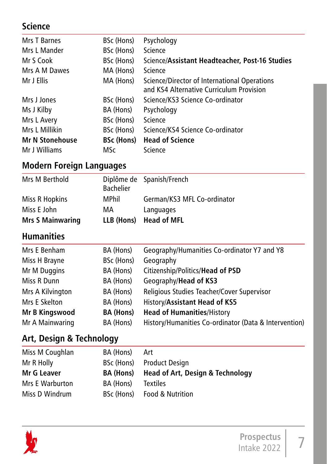## **Science**

| <b>Mrs T Barnes</b>    | BSc (Hons)        | Psychology                                                                               |
|------------------------|-------------------|------------------------------------------------------------------------------------------|
| Mrs L Mander           | BSc (Hons)        | Science                                                                                  |
| Mr S Cook              | BSc (Hons)        | Science/Assistant Headteacher, Post-16 Studies                                           |
| Mrs A M Dawes          | MA (Hons)         | Science                                                                                  |
| Mr J Ellis             | MA (Hons)         | Science/Director of International Operations<br>and KS4 Alternative Curriculum Provision |
| Mrs J Jones            | BSc (Hons)        | Science/KS3 Science Co-ordinator                                                         |
| Ms J Kilby             | BA (Hons)         | Psychology                                                                               |
| Mrs L Avery            | BSc (Hons)        | Science                                                                                  |
| Mrs L Millikin         | BSc (Hons)        | Science/KS4 Science Co-ordinator                                                         |
| <b>Mr N Stonehouse</b> | <b>BSc (Hons)</b> | <b>Head of Science</b>                                                                   |
| Mr J Williams          | MSc               | Science                                                                                  |

### **Modern Foreign Languages**

| <b>Mrs S Mainwaring</b> |                  | LLB (Hons) Head of MFL      |
|-------------------------|------------------|-----------------------------|
| Miss E John             | МA               | Languages                   |
| Miss R Hopkins          | MPhil            | German/KS3 MFL Co-ordinator |
| Mrs M Berthold          | <b>Bachelier</b> | Diplôme de Spanish/French   |

## **Humanities**

| Mrs E Benham     | BA (Hons)        | Geography/Humanities Co-ordinator Y7 and Y8           |
|------------------|------------------|-------------------------------------------------------|
| Miss H Brayne    | BSc (Hons)       | Geography                                             |
| Mr M Duggins     | BA (Hons)        | Citizenship/Politics/Head of PSD                      |
| Miss R Dunn      | BA (Hons)        | Geography/Head of KS3                                 |
| Mrs A Kilvington | BA (Hons)        | Religious Studies Teacher/Cover Supervisor            |
| Mrs E Skelton    | BA (Hons)        | History/Assistant Head of KS5                         |
| Mr B Kingswood   | <b>BA</b> (Hons) | <b>Head of Humanities/History</b>                     |
| Mr A Mainwaring  | BA (Hons)        | History/Humanities Co-ordinator (Data & Intervention) |
|                  |                  |                                                       |

### **Art, Design & Technology**

| Miss M Coughlan | BA (Hons) | Art                                         |
|-----------------|-----------|---------------------------------------------|
| Mr R Holly      |           | BSc (Hons) Product Design                   |
| Mr G Leaver     | BA (Hons) | <b>Head of Art, Design &amp; Technology</b> |
| Mrs E Warburton | BA (Hons) | <b>Textiles</b>                             |
| Miss D Windrum  |           | BSc (Hons) Food & Nutrition                 |

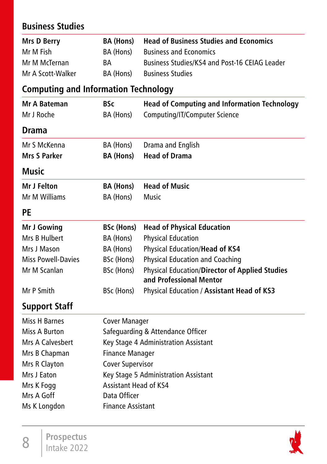### **Business Studies**

| Mrs D Berry       | <b>BA (Hons)</b> | <b>Head of Business Studies and Economics</b> |
|-------------------|------------------|-----------------------------------------------|
| Mr M Fish         | BA (Hons)        | <b>Business and Economics</b>                 |
| Mr M McTernan     | <b>BA</b>        | Business Studies/KS4 and Post-16 CEIAG Leader |
| Mr A Scott-Walker | BA (Hons)        | <b>Business Studies</b>                       |

### **Computing and Information Technology**

| Mr A Bateman              | <b>BSc</b>                           | <b>Head of Computing and Information Technology</b>                       |  |
|---------------------------|--------------------------------------|---------------------------------------------------------------------------|--|
| Mr J Roche                | BA (Hons)                            | Computing/IT/Computer Science                                             |  |
| Drama                     |                                      |                                                                           |  |
| Mr S McKenna              | BA (Hons)                            | Drama and English                                                         |  |
| <b>Mrs S Parker</b>       | <b>BA (Hons)</b>                     | <b>Head of Drama</b>                                                      |  |
| <b>Music</b>              |                                      |                                                                           |  |
| Mr J Felton               | <b>BA (Hons)</b>                     | <b>Head of Music</b>                                                      |  |
| Mr M Williams             | BA (Hons)                            | Music                                                                     |  |
| <b>PE</b>                 |                                      |                                                                           |  |
| Mr J Gowing               | <b>BSc (Hons)</b>                    | <b>Head of Physical Education</b>                                         |  |
| Mrs B Hulbert             | BA (Hons)                            | <b>Physical Education</b>                                                 |  |
| Mrs J Mason               | BA (Hons)                            | Physical Education/Head of KS4                                            |  |
| <b>Miss Powell-Davies</b> | BSc (Hons)                           | <b>Physical Education and Coaching</b>                                    |  |
| Mr M Scanlan              | BSc (Hons)                           | Physical Education/Director of Applied Studies<br>and Professional Mentor |  |
| Mr P Smith                | BSc (Hons)                           | Physical Education / Assistant Head of KS3                                |  |
| <b>Support Staff</b>      |                                      |                                                                           |  |
| Miss H Barnes             | <b>Cover Manager</b>                 |                                                                           |  |
| Miss A Burton             | Safeguarding & Attendance Officer    |                                                                           |  |
| Mrs A Calvesbert          | Key Stage 4 Administration Assistant |                                                                           |  |

Mrs B Chapman Finance Manager Mrs R Clayton Cover Supervisor Mrs J Eaton Key Stage 5 Administration Assistant Mrs K Fogg Assistant Head of KS4 Mrs A Goff Data Officer Ms K Longdon Finance Assistant

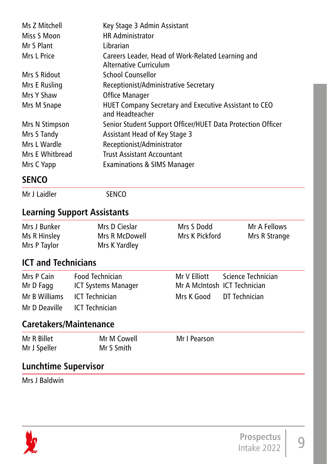| Ms 7 Mitchell   | Key Stage 3 Admin Assistant                                                 |
|-----------------|-----------------------------------------------------------------------------|
| Miss S Moon     | <b>HR Administrator</b>                                                     |
| Mr S Plant      | Librarian                                                                   |
| Mrs L Price     | Careers Leader, Head of Work-Related Learning and<br>Alternative Curriculum |
| Mrs S Ridout    | School Counsellor                                                           |
| Mrs E Rusling   | Receptionist/Administrative Secretary                                       |
| Mrs Y Shaw      | Office Manager                                                              |
| Mrs M Snape     | HUET Company Secretary and Executive Assistant to CEO<br>and Headteacher    |
| Mrs N Stimpson  | Senior Student Support Officer/HUET Data Protection Officer                 |
| Mrs S Tandy     | Assistant Head of Key Stage 3                                               |
| Mrs L Wardle    | Receptionist/Administrator                                                  |
| Mrs E Whitbread | <b>Trust Assistant Accountant</b>                                           |
| Mrs C Yapp      | Examinations & SIMS Manager                                                 |
| <b>SENCO</b>    |                                                                             |

Mr J Laidler SENCO

### **Learning Support Assistants**

| Mrs J Bunker | Mrs D Cieslar  | Mrs S Dodd     | Mr A Fellows  |
|--------------|----------------|----------------|---------------|
| Ms R Hinsley | Mrs R McDowell | Mrs K Pickford | Mrs R Strange |
| Mrs P Taylor | Mrs K Yardley  |                |               |

### **ICT and Technicians**

| Mrs P Cain<br>Mr D Fagg      | Food Technician<br>ICT Systems Manager | Mr A McIntosh ICT Technician | Mr V Elliott Science Technician |
|------------------------------|----------------------------------------|------------------------------|---------------------------------|
| Mr B Williams ICT Technician |                                        | Mrs K Good DT Technician     |                                 |
| Mr D Deaville ICT Technician |                                        |                              |                                 |

### **Caretakers/Maintenance**

| Mr R Billet  | Mr M Cowell | Mr I Pearson |
|--------------|-------------|--------------|
| Mr J Speller | Mr S Smith  |              |

## **Lunchtime Supervisor**

Mrs J Baldwin

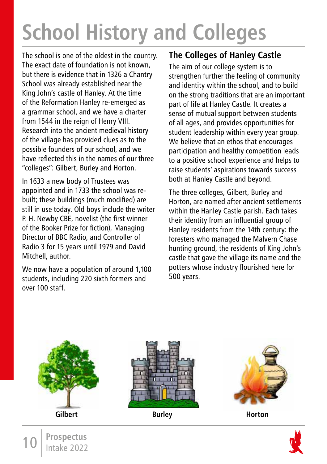# **School History and Colleges**

The school is one of the oldest in the country. The exact date of foundation is not known, but there is evidence that in 1326 a Chantry School was already established near the King John's castle of Hanley. At the time of the Reformation Hanley re-emerged as a grammar school, and we have a charter from 1544 in the reign of Henry VIII. Research into the ancient medieval history of the village has provided clues as to the possible founders of our school, and we have reflected this in the names of our three "colleges": Gilbert, Burley and Horton.

In 1633 a new body of Trustees was appointed and in 1733 the school was rebuilt; these buildings (much modified) are still in use today. Old boys include the writer P. H. Newby CBE, novelist (the first winner of the Booker Prize for fiction), Managing Director of BBC Radio, and Controller of Radio 3 for 15 years until 1979 and David Mitchell, author.

We now have a population of around 1,100 students, including 220 sixth formers and over 100 staff.

10 **Prospectus** Intake 2022

### **The Colleges of Hanley Castle**

The aim of our college system is to strengthen further the feeling of community and identity within the school, and to build on the strong traditions that are an important part of life at Hanley Castle. It creates a sense of mutual support between students of all ages, and provides opportunities for student leadership within every year group. We believe that an ethos that encourages participation and healthy competition leads to a positive school experience and helps to raise students' aspirations towards success both at Hanley Castle and beyond.

The three colleges, Gilbert, Burley and Horton, are named after ancient settlements within the Hanley Castle parish. Each takes their identity from an influential group of Hanley residents from the 14th century: the foresters who managed the Malvern Chase hunting ground, the residents of King John's castle that gave the village its name and the potters whose industry flourished here for 500 years.

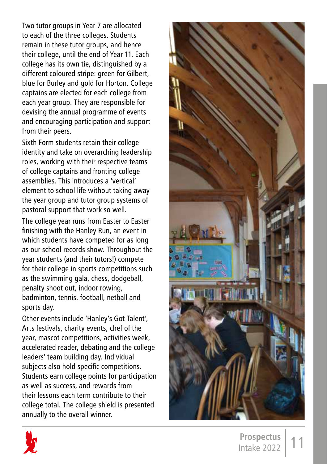Two tutor groups in Year 7 are allocated to each of the three colleges. Students remain in these tutor groups, and hence their college, until the end of Year 11. Each college has its own tie, distinguished by a different coloured stripe: green for Gilbert, blue for Burley and gold for Horton. College captains are elected for each college from each year group. They are responsible for devising the annual programme of events and encouraging participation and support from their peers.

Sixth Form students retain their college identity and take on overarching leadership roles, working with their respective teams of college captains and fronting college assemblies. This introduces a 'vertical' element to school life without taking away the year group and tutor group systems of pastoral support that work so well.

The college year runs from Easter to Easter finishing with the Hanley Run, an event in which students have competed for as long as our school records show. Throughout the year students (and their tutors!) compete for their college in sports competitions such as the swimming gala, chess, dodgeball, penalty shoot out, indoor rowing, badminton, tennis, football, netball and sports day.

Other events include 'Hanley's Got Talent', Arts festivals, charity events, chef of the year, mascot competitions, activities week, accelerated reader, debating and the college leaders' team building day. Individual subjects also hold specific competitions. Students earn college points for participation as well as success, and rewards from their lessons each term contribute to their college total. The college shield is presented annually to the overall winner.



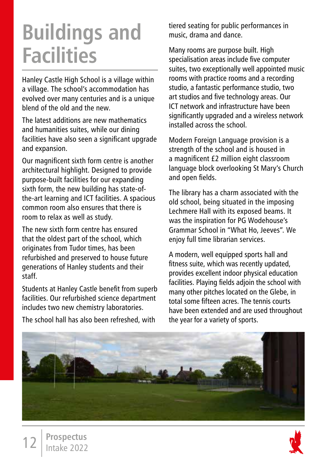# **Buildings and Facilities**

Hanley Castle High School is a village within a village. The school's accommodation has evolved over many centuries and is a unique blend of the old and the new.

The latest additions are new mathematics and humanities suites, while our dining facilities have also seen a significant upgrade and expansion.

Our magnificent sixth form centre is another architectural highlight. Designed to provide purpose-built facilities for our expanding sixth form, the new building has state-ofthe-art learning and ICT facilities. A spacious common room also ensures that there is room to relax as well as study.

The new sixth form centre has ensured that the oldest part of the school, which originates from Tudor times, has been refurbished and preserved to house future generations of Hanley students and their staff.

Students at Hanley Castle benefit from superb facilities. Our refurbished science department includes two new chemistry laboratories.

The school hall has also been refreshed, with

tiered seating for public performances in music, drama and dance.

Many rooms are purpose built. High specialisation areas include five computer suites, two exceptionally well appointed music rooms with practice rooms and a recording studio, a fantastic performance studio, two art studios and five technology areas. Our ICT network and infrastructure have been significantly upgraded and a wireless network installed across the school.

Modern Foreign Language provision is a strength of the school and is housed in a magnificent £2 million eight classroom language block overlooking St Mary's Church and open fields.

The library has a charm associated with the old school, being situated in the imposing Lechmere Hall with its exposed beams. It was the inspiration for PG Wodehouse's Grammar School in "What Ho, Jeeves". We enjoy full time librarian services.

A modern, well equipped sports hall and fitness suite, which was recently updated, provides excellent indoor physical education facilities. Playing fields adjoin the school with many other pitches located on the Glebe, in total some fifteen acres. The tennis courts have been extended and are used throughout the year for a variety of sports.



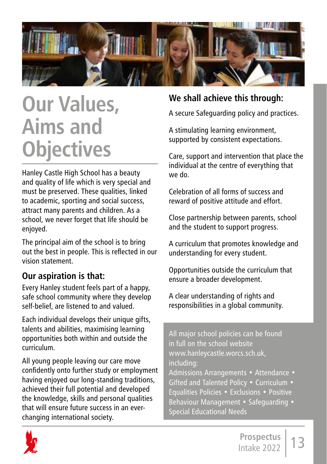

# **Our Values, Aims and Objectives**

Hanley Castle High School has a beauty and quality of life which is very special and must be preserved. These qualities, linked to academic, sporting and social success, attract many parents and children. As a school, we never forget that life should be enjoyed.

The principal aim of the school is to bring out the best in people. This is reflected in our vision statement.

### **Our aspiration is that:**

Every Hanley student feels part of a happy, safe school community where they develop self-belief, are listened to and valued.

Each individual develops their unique gifts, talents and abilities, maximising learning opportunities both within and outside the curriculum.

All young people leaving our care move confidently onto further study or employment having enjoyed our long-standing traditions, achieved their full potential and developed the knowledge, skills and personal qualities that will ensure future success in an everchanging international society.

### **We shall achieve this through:**

A secure Safeguarding policy and practices.

A stimulating learning environment, supported by consistent expectations.

Care, support and intervention that place the individual at the centre of everything that we do.

Celebration of all forms of success and reward of positive attitude and effort.

Close partnership between parents, school and the student to support progress.

A curriculum that promotes knowledge and understanding for every student.

Opportunities outside the curriculum that ensure a broader development.

A clear understanding of rights and responsibilities in a global community.

All major school policies can be found in full on the school website www.hanleycastle.worcs.sch.uk, including: Admissions Arrangements • Attendance • Gifted and Talented Policy • Curriculum • Equalities Policies • Exclusions • Positive Behaviour Management • Safeguarding • Special Educational Needs

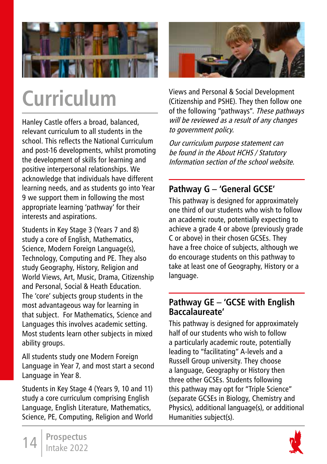

# **Curriculum**

Hanley Castle offers a broad, balanced, relevant curriculum to all students in the school. This reflects the National Curriculum and post-16 developments, whilst promoting the development of skills for learning and positive interpersonal relationships. We acknowledge that individuals have different learning needs, and as students go into Year 9 we support them in following the most appropriate learning 'pathway' for their interests and aspirations.

Students in Key Stage 3 (Years 7 and 8) study a core of English, Mathematics, Science, Modern Foreign Language(s), Technology, Computing and PE. They also study Geography, History, Religion and World Views, Art, Music, Drama, Citizenship and Personal, Social & Heath Education. The 'core' subjects group students in the most advantageous way for learning in that subject. For Mathematics, Science and Languages this involves academic setting. Most students learn other subjects in mixed ability groups.

All students study one Modern Foreign Language in Year 7, and most start a second Language in Year 8.

Students in Key Stage 4 (Years 9, 10 and 11) study a core curriculum comprising English Language, English Literature, Mathematics, Science, PE, Computing, Religion and World



Views and Personal & Social Development (Citizenship and PSHE). They then follow one of the following "pathways". These pathways will be reviewed as a result of any changes to government policy.

Our curriculum purpose statement can be found in the About HCHS / Statutory Information section of the school website.

### **Pathway G – 'General GCSE'**

This pathway is designed for approximately one third of our students who wish to follow an academic route, potentially expecting to achieve a grade 4 or above (previously grade C or above) in their chosen GCSEs. They have a free choice of subjects, although we do encourage students on this pathway to take at least one of Geography, History or a language.

### **Pathway GE – 'GCSE with English Baccalaureate'**

This pathway is designed for approximately half of our students who wish to follow a particularly academic route, potentially leading to "facilitating" A-levels and a Russell Group university. They choose a language, Geography or History then three other GCSEs. Students following this pathway may opt for "Triple Science" (separate GCSEs in Biology, Chemistry and Physics), additional language(s), or additional Humanities subject(s).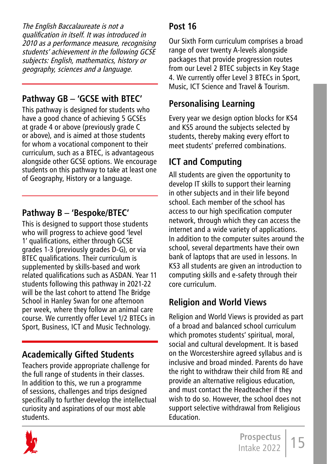The English Baccalaureate is not a qualification in itself. It was introduced in 2010 as a performance measure, recognising students' achievement in the following GCSE subjects: English, mathematics, history or geography, sciences and a language.

## **Pathway GB – 'GCSE with BTEC'**

This pathway is designed for students who have a good chance of achieving 5 GCSEs at grade 4 or above (previously grade C or above), and is aimed at those students for whom a vocational component to their curriculum, such as a BTEC, is advantageous alongside other GCSE options. We encourage students on this pathway to take at least one of Geography, History or a language.

## **Pathway B – 'Bespoke/BTEC'**

This is designed to support those students who will progress to achieve good 'level 1' qualifications, either through GCSE grades 1-3 (previously grades D-G), or via BTEC qualifications. Their curriculum is supplemented by skills-based and work related qualifications such as ASDAN. Year 11 students following this pathway in 2021-22 will be the last cohort to attend The Bridge School in Hanley Swan for one afternoon per week, where they follow an animal care course. We currently offer Level 1/2 BTECs in Sport, Business, ICT and Music Technology.

# **Academically Gifted Students**

Teachers provide appropriate challenge for the full range of students in their classes. In addition to this, we run a programme of sessions, challenges and trips designed specifically to further develop the intellectual curiosity and aspirations of our most able students.

## **Post 16**

Our Sixth Form curriculum comprises a broad range of over twenty A-levels alongside packages that provide progression routes from our Level 2 BTEC subjects in Key Stage 4. We currently offer Level 3 BTECs in Sport, Music, ICT Science and Travel & Tourism.

# **Personalising Learning**

Every year we design option blocks for KS4 and KS5 around the subjects selected by students, thereby making every effort to meet students' preferred combinations.

# **ICT and Computing**

All students are given the opportunity to develop IT skills to support their learning in other subjects and in their life beyond school. Each member of the school has access to our high specification computer network, through which they can access the internet and a wide variety of applications. In addition to the computer suites around the school, several departments have their own bank of laptops that are used in lessons. In KS3 all students are given an introduction to computing skills and e-safety through their core curriculum.

# **Religion and World Views**

Religion and World Views is provided as part of a broad and balanced school curriculum which promotes students' spiritual, moral, social and cultural development. It is based on the Worcestershire agreed syllabus and is inclusive and broad minded. Parents do have the right to withdraw their child from RE and provide an alternative religious education, and must contact the Headteacher if they wish to do so. However, the school does not support selective withdrawal from Religious Education.

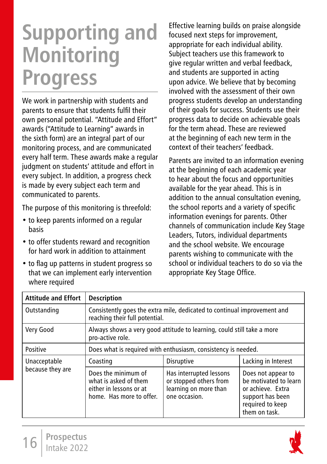# **Supporting and Monitoring Progress**

We work in partnership with students and parents to ensure that students fulfil their own personal potential. "Attitude and Effort" awards ("Attitude to Learning" awards in the sixth form) are an integral part of our monitoring process, and are communicated every half term. These awards make a regular judgment on students' attitude and effort in every subject. In addition, a progress check is made by every subject each term and communicated to parents.

The purpose of this monitoring is threefold:

- to keep parents informed on a regular basis
- to offer students reward and recognition for hard work in addition to attainment
- to flag up patterns in student progress so that we can implement early intervention where required

Effective learning builds on praise alongside focused next steps for improvement, appropriate for each individual ability. Subject teachers use this framework to give regular written and verbal feedback, and students are supported in acting upon advice. We believe that by becoming involved with the assessment of their own progress students develop an understanding of their goals for success. Students use their progress data to decide on achievable goals for the term ahead. These are reviewed at the beginning of each new term in the context of their teachers' feedback.

Parents are invited to an information evening at the beginning of each academic year to hear about the focus and opportunities available for the year ahead. This is in addition to the annual consultation evening, the school reports and a variety of specific information evenings for parents. Other channels of communication include Key Stage Leaders, Tutors, individual departments and the school website. We encourage parents wishing to communicate with the school or individual teachers to do so via the appropriate Key Stage Office.

| <b>Attitude and Effort</b> | <b>Description</b>                                                                                         |                                                                                             |                                                                                                                           |
|----------------------------|------------------------------------------------------------------------------------------------------------|---------------------------------------------------------------------------------------------|---------------------------------------------------------------------------------------------------------------------------|
| Outstanding                | Consistently goes the extra mile, dedicated to continual improvement and<br>reaching their full potential. |                                                                                             |                                                                                                                           |
| Very Good                  | Always shows a very good attitude to learning, could still take a more<br>pro-active role.                 |                                                                                             |                                                                                                                           |
| Positive                   | Does what is required with enthusiasm, consistency is needed.                                              |                                                                                             |                                                                                                                           |
| Unacceptable               | Coasting                                                                                                   | <b>Disruptive</b>                                                                           | Lacking in Interest                                                                                                       |
| because they are           | Does the minimum of<br>what is asked of them<br>either in lessons or at<br>home. Has more to offer.        | Has interrupted lessons<br>or stopped others from<br>learning on more than<br>one occasion. | Does not appear to<br>be motivated to learn<br>or achieve. Extra<br>support has been<br>required to keep<br>them on task. |

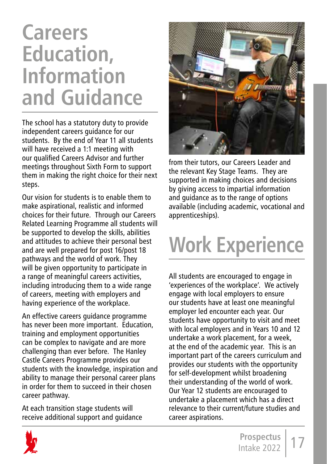# **Careers Education, Information and Guidance**

The school has a statutory duty to provide independent careers guidance for our students. By the end of Year 11 all students will have received a 1:1 meeting with our qualified Careers Advisor and further meetings throughout Sixth Form to support them in making the right choice for their next steps.

Our vision for students is to enable them to make aspirational, realistic and informed choices for their future. Through our Careers Related Learning Programme all students will be supported to develop the skills, abilities and attitudes to achieve their personal best and are well prepared for post 16/post 18 pathways and the world of work. They will be given opportunity to participate in a range of meaningful careers activities, including introducing them to a wide range of careers, meeting with employers and having experience of the workplace.

An effective careers guidance programme has never been more important. Education, training and employment opportunities can be complex to navigate and are more challenging than ever before. The Hanley Castle Careers Programme provides our students with the knowledge, inspiration and ability to manage their personal career plans in order for them to succeed in their chosen career pathway.

At each transition stage students will receive additional support and guidance



from their tutors, our Careers Leader and the relevant Key Stage Teams. They are supported in making choices and decisions by giving access to impartial information and guidance as to the range of options available (including academic, vocational and apprenticeships).

# **Work Experience**

All students are encouraged to engage in 'experiences of the workplace'. We actively engage with local employers to ensure our students have at least one meaningful employer led encounter each year. Our students have opportunity to visit and meet with local employers and in Years 10 and 12 undertake a work placement, for a week, at the end of the academic year. This is an important part of the careers curriculum and provides our students with the opportunity for self-development whilst broadening their understanding of the world of work. Our Year 12 students are encouraged to undertake a placement which has a direct relevance to their current/future studies and career aspirations.

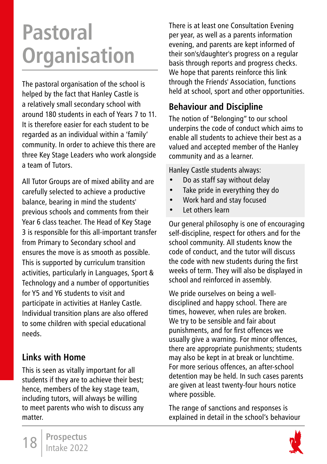# **Pastoral Organisation**

The pastoral organisation of the school is helped by the fact that Hanley Castle is a relatively small secondary school with around 180 students in each of Years 7 to 11. It is therefore easier for each student to be regarded as an individual within a 'family' community. In order to achieve this there are three Key Stage Leaders who work alongside a team of Tutors.

All Tutor Groups are of mixed ability and are carefully selected to achieve a productive balance, bearing in mind the students' previous schools and comments from their Year 6 class teacher. The Head of Key Stage 3 is responsible for this all-important transfer from Primary to Secondary school and ensures the move is as smooth as possible. This is supported by curriculum transition activities, particularly in Languages, Sport & Technology and a number of opportunities for Y5 and Y6 students to visit and participate in activities at Hanley Castle. Individual transition plans are also offered to some children with special educational needs.

### **Links with Home**

This is seen as vitally important for all students if they are to achieve their best; hence, members of the key stage team, including tutors, will always be willing to meet parents who wish to discuss any matter.

There is at least one Consultation Evening per year, as well as a parents information evening, and parents are kept informed of their son's/daughter's progress on a regular basis through reports and progress checks. We hope that parents reinforce this link through the Friends' Association, functions held at school, sport and other opportunities.

## **Behaviour and Discipline**

The notion of "Belonging" to our school underpins the code of conduct which aims to enable all students to achieve their best as a valued and accepted member of the Hanley community and as a learner.

Hanley Castle students always:

- Do as staff say without delay
- Take pride in everything they do
- Work hard and stay focused
- Let others learn

Our general philosophy is one of encouraging self-discipline, respect for others and for the school community. All students know the code of conduct, and the tutor will discuss the code with new students during the first weeks of term. They will also be displayed in school and reinforced in assembly.

We pride ourselves on being a welldisciplined and happy school. There are times, however, when rules are broken. We try to be sensible and fair about punishments, and for first offences we usually give a warning. For minor offences, there are appropriate punishments; students may also be kept in at break or lunchtime. For more serious offences, an after-school detention may be held. In such cases parents are given at least twenty-four hours notice where possible.

The range of sanctions and responses is explained in detail in the school's behaviour

18 **Prospectus** Intake 2022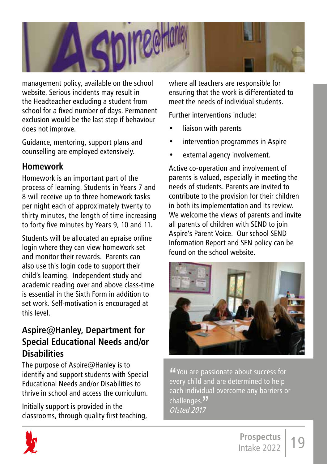

management policy, available on the school website. Serious incidents may result in the Headteacher excluding a student from school for a fixed number of days. Permanent exclusion would be the last step if behaviour does not improve.

Guidance, mentoring, support plans and counselling are employed extensively.

### **Homework**

Homework is an important part of the process of learning. Students in Years 7 and 8 will receive up to three homework tasks per night each of approximately twenty to thirty minutes, the length of time increasing to forty five minutes by Years 9, 10 and 11.

Students will be allocated an epraise online login where they can view homework set and monitor their rewards. Parents can also use this login code to support their child's learning. Independent study and academic reading over and above class-time is essential in the Sixth Form in addition to set work. Self-motivation is encouraged at this level.

### **Aspire@Hanley, Department for Special Educational Needs and/or Disabilities**

The purpose of Aspire@Hanley is to identify and support students with Special Educational Needs and/or Disabilities to thrive in school and access the curriculum.

Initially support is provided in the classrooms, through quality first teaching, where all teachers are responsible for ensuring that the work is differentiated to meet the needs of individual students.

Further interventions include:

- liaison with parents
- intervention programmes in Aspire
- external agency involvement.

Active co-operation and involvement of parents is valued, especially in meeting the needs of students. Parents are invited to contribute to the provision for their children in both its implementation and its review. We welcome the views of parents and invite all parents of children with SEND to join Aspire's Parent Voice. Our school SEND Information Report and SEN policy can be found on the school website



"You are passionate about success for every child and are determined to help each individual overcome any barriers or challenges.<sup>77</sup> Ofsted 2017

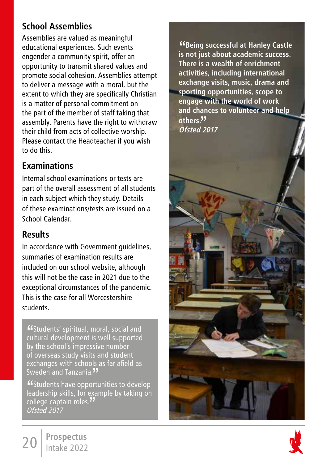## **School Assemblies**

Assemblies are valued as meaningful educational experiences. Such events engender a community spirit, offer an opportunity to transmit shared values and promote social cohesion. Assemblies attempt to deliver a message with a moral, but the extent to which they are specifically Christian is a matter of personal commitment on the part of the member of staff taking that assembly. Parents have the right to withdraw their child from acts of collective worship. Please contact the Headteacher if you wish to do this.

### **Examinations**

Internal school examinations or tests are part of the overall assessment of all students in each subject which they study. Details of these examinations/tests are issued on a School Calendar.

### **Results**

In accordance with Government guidelines, summaries of examination results are included on our school website, although this will not be the case in 2021 due to the exceptional circumstances of the pandemic. This is the case for all Worcestershire students.

"Students' spiritual, moral, social and cultural development is well supported by the school's impressive number of overseas study visits and student exchanges with schools as far afield as Sweden and Tanzania."<br>"Students have opportunities to develop

"Students have opportunities to develop leadership skills, for example by taking on college captain roles.**"'**<br>*Ofsted 2017* Ofsted 2017

"**Being successful at Hanley Castle is not just about academic success. There is a wealth of enrichment activities, including international exchange visits, music, drama and sporting opportunities, scope to engage with the world of work and chances to volunteer and help others.**" **Ofsted 2017**





20 **Prospectus** Intake 2022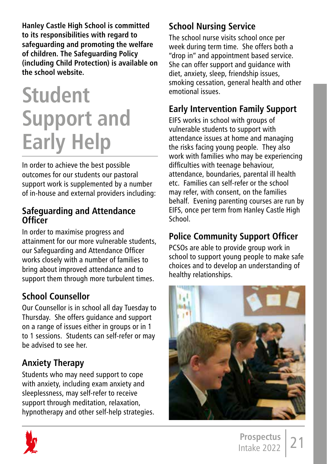**Hanley Castle High School is committed to its responsibilities with regard to safeguarding and promoting the welfare of children. The Safeguarding Policy (including Child Protection) is available on the school website.** 

# **Student Support and Early Help**

In order to achieve the best possible outcomes for our students our pastoral support work is supplemented by a number of in-house and external providers including:

### **Safeguarding and Attendance Officer**

In order to maximise progress and attainment for our more vulnerable students, our Safeguarding and Attendance Officer works closely with a number of families to bring about improved attendance and to support them through more turbulent times.

## **School Counsellor**

Our Counsellor is in school all day Tuesday to Thursday. She offers guidance and support on a range of issues either in groups or in 1 to 1 sessions. Students can self-refer or may be advised to see her.

## **Anxiety Therapy**

Students who may need support to cope with anxiety, including exam anxiety and sleeplessness, may self-refer to receive support through meditation, relaxation, hypnotherapy and other self-help strategies.

# **School Nursing Service**

The school nurse visits school once per week during term time. She offers both a "drop in" and appointment based service. She can offer support and guidance with diet, anxiety, sleep, friendship issues, smoking cessation, general health and other emotional issues.

## **Early Intervention Family Support**

EIFS works in school with groups of vulnerable students to support with attendance issues at home and managing the risks facing young people. They also work with families who may be experiencing difficulties with teenage behaviour, attendance, boundaries, parental ill health etc. Families can self-refer or the school may refer, with consent, on the families behalf. Evening parenting courses are run by EIFS, once per term from Hanley Castle High School.

## **Police Community Support Officer**

PCSOs are able to provide group work in school to support young people to make safe choices and to develop an understanding of healthy relationships.



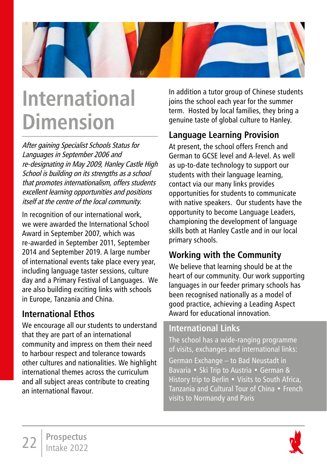

# **International Dimension**

After gaining Specialist Schools Status for Languages in September 2006 and re-designating in May 2009, Hanley Castle High School is building on its strengths as a school that promotes internationalism, offers students excellent learning opportunities and positions itself at the centre of the local community.

In recognition of our international work, we were awarded the International School Award in September 2007, which was re-awarded in September 2011, September 2014 and September 2019. A large number of international events take place every year, including language taster sessions, culture day and a Primary Festival of Languages. We are also building exciting links with schools in Europe, Tanzania and China.

### **International Ethos**

We encourage all our students to understand that they are part of an international community and impress on them their need to harbour respect and tolerance towards other cultures and nationalities. We highlight international themes across the curriculum and all subject areas contribute to creating an international flavour.

In addition a tutor group of Chinese students joins the school each year for the summer term. Hosted by local families, they bring a genuine taste of global culture to Hanley.

## **Language Learning Provision**

At present, the school offers French and German to GCSE level and A-level. As well as up-to-date technology to support our students with their language learning, contact via our many links provides opportunities for students to communicate with native speakers. Our students have the opportunity to become Language Leaders, championing the development of language skills both at Hanley Castle and in our local primary schools.

## **Working with the Community**

We believe that learning should be at the heart of our community. Our work supporting languages in our feeder primary schools has been recognised nationally as a model of good practice, achieving a Leading Aspect Award for educational innovation.

### **International Links**

The school has a wide-ranging programme of visits, exchanges and international links:

German Exchange – to Bad Neustadt in Bavaria • Ski Trip to Austria • German & History trip to Berlin • Visits to South Africa, Tanzania and Cultural Tour of China • French visits to Normandy and Paris

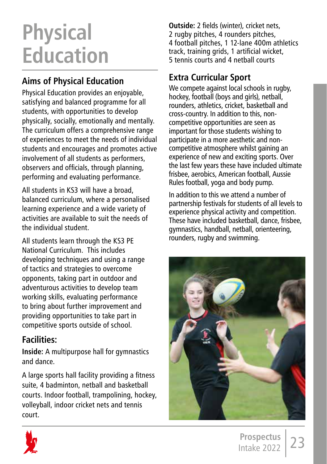# **Physical Education**

# **Aims of Physical Education**

Physical Education provides an enjoyable, satisfying and balanced programme for all students, with opportunities to develop physically, socially, emotionally and mentally. The curriculum offers a comprehensive range of experiences to meet the needs of individual students and encourages and promotes active involvement of all students as performers, observers and officials, through planning, performing and evaluating performance.

All students in KS3 will have a broad, balanced curriculum, where a personalised learning experience and a wide variety of activities are available to suit the needs of the individual student.

All students learn through the KS3 PE National Curriculum. This includes developing techniques and using a range of tactics and strategies to overcome opponents, taking part in outdoor and adventurous activities to develop team working skills, evaluating performance to bring about further improvement and providing opportunities to take part in competitive sports outside of school.

## **Facilities:**

**Inside:** A multipurpose hall for gymnastics and dance.

A large sports hall facility providing a fitness suite, 4 badminton, netball and basketball courts. Indoor football, trampolining, hockey, volleyball, indoor cricket nets and tennis court.

**Outside:** 2 fields (winter), cricket nets, 2 rugby pitches, 4 rounders pitches, 4 football pitches, 1 12-lane 400m athletics track, training grids, 1 artificial wicket, 5 tennis courts and 4 netball courts

# **Extra Curricular Sport**

We compete against local schools in rugby. hockey, football (boys and girls), netball, rounders, athletics, cricket, basketball and cross-country. In addition to this, noncompetitive opportunities are seen as important for those students wishing to participate in a more aesthetic and noncompetitive atmosphere whilst gaining an experience of new and exciting sports. Over the last few years these have included ultimate frisbee, aerobics, American football, Aussie Rules football, yoga and body pump.

In addition to this we attend a number of partnership festivals for students of all levels to experience physical activity and competition. These have included basketball, dance, frisbee, gymnastics, handball, netball, orienteering, rounders, rugby and swimming.



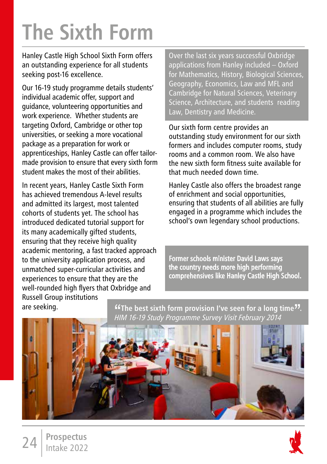# **The Sixth Form**

Hanley Castle High School Sixth Form offers an outstanding experience for all students seeking post-16 excellence.

Our 16-19 study programme details students' individual academic offer, support and guidance, volunteering opportunities and work experience. Whether students are targeting Oxford, Cambridge or other top universities, or seeking a more vocational package as a preparation for work or apprenticeships, Hanley Castle can offer tailormade provision to ensure that every sixth form student makes the most of their abilities.

In recent years, Hanley Castle Sixth Form has achieved tremendous A-level results and admitted its largest, most talented cohorts of students yet. The school has introduced dedicated tutorial support for its many academically gifted students, ensuring that they receive high quality academic mentoring, a fast tracked approach to the university application process, and unmatched super-curricular activities and experiences to ensure that they are the well-rounded high flyers that Oxbridge and Russell Group institutions

Over the last six years successful Oxbridge applications from Hanley included – Oxford for Mathematics, History, Biological Sciences, Geography, Economics, Law and MFL and Cambridge for Natural Sciences, Veterinary Science, Architecture, and students reading Law, Dentistry and Medicine.

Our sixth form centre provides an outstanding study environment for our sixth formers and includes computer rooms, study rooms and a common room. We also have the new sixth form fitness suite available for that much needed down time.

Hanley Castle also offers the broadest range of enrichment and social opportunities, ensuring that students of all abilities are fully engaged in a programme which includes the school's own legendary school productions.

Former schools minister David Laws says the country needs more high performing comprehensives like Hanley Castle High School.

are seeking.

"**The best sixth form provision I've seen for a long time**"**.**  HIM 16-19 Study Programme Survey Visit February 2014

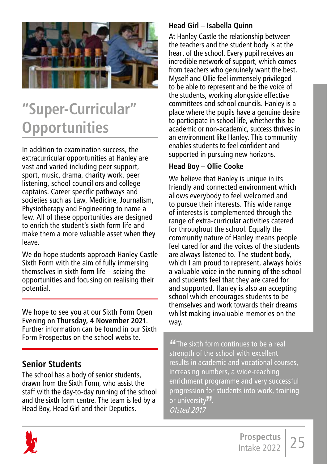

# **"Super-Curricular" Opportunities**

In addition to examination success, the extracurricular opportunities at Hanley are vast and varied including peer support, sport, music, drama, charity work, peer listening, school councillors and college captains. Career specific pathways and societies such as Law, Medicine, Journalism, Physiotherapy and Engineering to name a few. All of these opportunities are designed to enrich the student's sixth form life and make them a more valuable asset when they leave.

We do hope students approach Hanley Castle Sixth Form with the aim of fully immersing themselves in sixth form life – seizing the opportunities and focusing on realising their potential.

We hope to see you at our Sixth Form Open Evening on **Thursday, 4 November 2021**. Further information can be found in our Sixth Form Prospectus on the school website.

### **Senior Students**

The school has a body of senior students, drawn from the Sixth Form, who assist the staff with the day-to-day running of the school and the sixth form centre. The team is led by a Head Boy, Head Girl and their Deputies.

#### **Head Girl – Isabella Quinn**

At Hanley Castle the relationship between the teachers and the student body is at the heart of the school. Every pupil receives an incredible network of support, which comes from teachers who genuinely want the best. Myself and Ollie feel immensely privileged to be able to represent and be the voice of the students, working alongside effective committees and school councils. Hanley is a place where the pupils have a genuine desire to participate in school life, whether this be academic or non-academic, success thrives in an environment like Hanley. This community enables students to feel confident and supported in pursuing new horizons.

#### **Head Boy – Ollie Cooke**

We believe that Hanley is unique in its friendly and connected environment which allows everybody to feel welcomed and to pursue their interests. This wide range of interests is complemented through the range of extra-curricular activities catered for throughout the school. Equally the community nature of Hanley means people feel cared for and the voices of the students are always listened to. The student body, which I am proud to represent, always holds a valuable voice in the running of the school and students feel that they are cared for and supported. Hanley is also an accepting school which encourages students to be themselves and work towards their dreams whilst making invaluable memories on the way.

**"The sixth form continues to be a real strength of the school with excellent** results in academic and vocational courses, increasing numbers, a wide-reaching enrichment programme and very successful progression for students into work, training or university<sup>77</sup>. Ofsted 2017

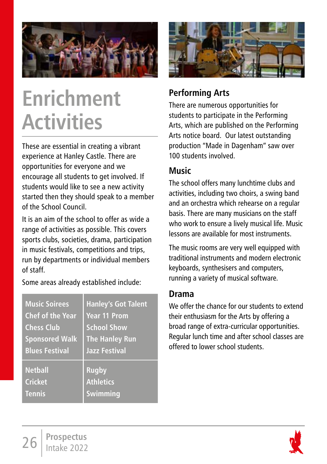

# **Enrichment Activities**

These are essential in creating a vibrant experience at Hanley Castle. There are opportunities for everyone and we encourage all students to get involved. If students would like to see a new activity started then they should speak to a member of the School Council.

It is an aim of the school to offer as wide a range of activities as possible. This covers sports clubs, societies, drama, participation in music festivals, competitions and trips, run by departments or individual members of staff.

Some areas already established include:

| <b>Music Soirees</b>    | <b>Hanley's Got Talent</b> |
|-------------------------|----------------------------|
| <b>Chef of the Year</b> | Year 11 Prom               |
| <b>Chess Club</b>       | <b>School Show</b>         |
| <b>Sponsored Walk</b>   | <b>The Hanley Run</b>      |
| <b>Blues Festival</b>   | <b>Jazz Festival</b>       |
| <b>Netball</b>          | <b>Rugby</b>               |
| <b>Cricket</b>          | <b>Athletics</b>           |
| <b>Tennis</b>           | Swimming                   |



### **Performing Arts**

There are numerous opportunities for students to participate in the Performing Arts, which are published on the Performing Arts notice board. Our latest outstanding production "Made in Dagenham" saw over 100 students involved.

### **Music**

The school offers many lunchtime clubs and activities, including two choirs, a swing band and an orchestra which rehearse on a regular basis. There are many musicians on the staff who work to ensure a lively musical life. Music lessons are available for most instruments.

The music rooms are very well equipped with traditional instruments and modern electronic keyboards, synthesisers and computers, running a variety of musical software.

### **Drama**

We offer the chance for our students to extend their enthusiasm for the Arts by offering a broad range of extra-curricular opportunities. Regular lunch time and after school classes are offered to lower school students.

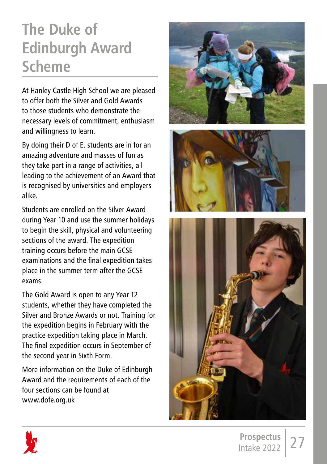# **The Duke of Edinburgh Award Scheme**

At Hanley Castle High School we are pleased to offer both the Silver and Gold Awards to those students who demonstrate the necessary levels of commitment, enthusiasm and willingness to learn.

By doing their D of E, students are in for an amazing adventure and masses of fun as they take part in a range of activities, all leading to the achievement of an Award that is recognised by universities and employers alike.

Students are enrolled on the Silver Award during Year 10 and use the summer holidays to begin the skill, physical and volunteering sections of the award. The expedition training occurs before the main GCSE examinations and the final expedition takes place in the summer term after the GCSE exams.

The Gold Award is open to any Year 12 students, whether they have completed the Silver and Bronze Awards or not. Training for the expedition begins in February with the practice expedition taking place in March. The final expedition occurs in September of the second year in Sixth Form.

More information on the Duke of Edinburgh Award and the requirements of each of the four sections can be found at www.dofe.org.uk







27 **Prospectus** Intake 2022

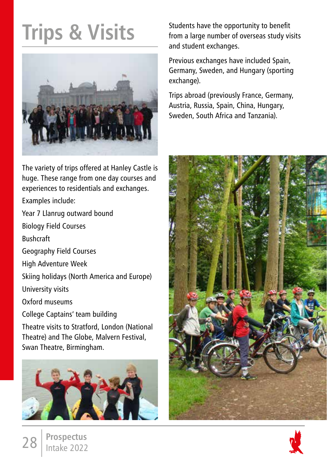# **Trips & Visits**



The variety of trips offered at Hanley Castle is huge. These range from one day courses and experiences to residentials and exchanges.

Examples include:

Year 7 Llanrug outward bound

Biology Field Courses

Bushcraft

Geography Field Courses

High Adventure Week

Skiing holidays (North America and Europe)

University visits

Oxford museums

College Captains' team building

Theatre visits to Stratford, London (National Theatre) and The Globe, Malvern Festival, Swan Theatre, Birmingham.



Students have the opportunity to benefit from a large number of overseas study visits and student exchanges.

Previous exchanges have included Spain, Germany, Sweden, and Hungary (sporting exchange).

Trips abroad (previously France, Germany, Austria, Russia, Spain, China, Hungary, Sweden, South Africa and Tanzania).



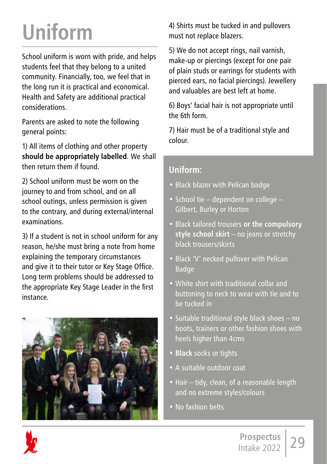# **Uniform**

School uniform is worn with pride, and helps students feel that they belong to a united community. Financially, too, we feel that in the long run it is practical and economical. Health and Safety are additional practical considerations.

Parents are asked to note the following general points:

1) All items of clothing and other property **should be appropriately labelled**. We shall then return them if found.

2) School uniform must be worn on the journey to and from school, and on all school outings, unless permission is given to the contrary, and during external/internal examinations.

3) If a student is not in school uniform for any reason, he/she must bring a note from home explaining the temporary circumstances and give it to their tutor or Key Stage Office. Long term problems should be addressed to the appropriate Key Stage Leader in the first instance.



4) Shirts must be tucked in and pullovers must not replace blazers.

5) We do not accept rings, nail varnish, make-up or piercings (except for one pair of plain studs or earrings for students with pierced ears, no facial piercings). Jewellery and valuables are best left at home.

6) Boys' facial hair is not appropriate until the 6th form.

7) Hair must be of a traditional style and colour.

## **Uniform:**

- Black blazer with Pelican badge
- School tie dependent on college Gilbert, Burley or Horton
- Black tailored trousers **or the compulsory style school skirt** – no jeans or stretchy black trousers/skirts
- Black 'V' necked pullover with Pelican Badge
- White shirt with traditional collar and buttoning to neck to wear with tie and to be tucked in
- Suitable traditional style black shoes no boots, trainers or other fashion shoes with heels higher than 4cms
- **Black** socks or tights
- A suitable outdoor coat
- Hair tidy, clean, of a reasonable length and no extreme styles/colours
- No fashion belts

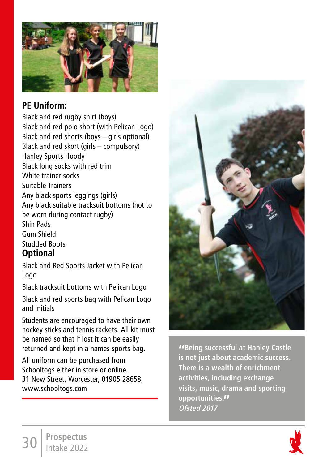

## **PE Uniform:**

Black and red rugby shirt (boys) Black and red polo short (with Pelican Logo) Black and red shorts (boys – girls optional) Black and red skort (girls – compulsory) Hanley Sports Hoody Black long socks with red trim White trainer socks Suitable Trainers Any black sports leggings (girls) Any black suitable tracksuit bottoms (not to be worn during contact rugby) Shin Pads Gum Shield Studded Boots

### **Optional**

Black and Red Sports Jacket with Pelican Logo

Black tracksuit bottoms with Pelican Logo

Black and red sports bag with Pelican Logo and initials

Students are encouraged to have their own hockey sticks and tennis rackets. All kit must be named so that if lost it can be easily returned and kept in a names sports bag.

All uniform can be purchased from Schooltogs either in store or online. 31 New Street, Worcester, 01905 28658, www.schooltogs.com



**"Being successful at Hanley Castle is not just about academic success. There is a wealth of enrichment activities, including exchange visits, music, drama and sporting opportunities." Ofsted 2017**

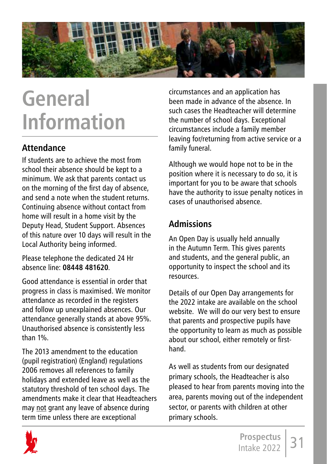

# **General Information**

### **Attendance**

If students are to achieve the most from school their absence should be kept to a minimum. We ask that parents contact us on the morning of the first day of absence, and send a note when the student returns. Continuing absence without contact from home will result in a home visit by the Deputy Head, Student Support. Absences of this nature over 10 days will result in the Local Authority being informed.

Please telephone the dedicated 24 Hr absence line: **08448 481620**.

Good attendance is essential in order that progress in class is maximised. We monitor attendance as recorded in the registers and follow up unexplained absences. Our attendance generally stands at above 95%. Unauthorised absence is consistently less than 1%.

The 2013 amendment to the education (pupil registration) (England) regulations 2006 removes all references to family holidays and extended leave as well as the statutory threshold of ten school days. The amendments make it clear that Headteachers may not grant any leave of absence during term time unless there are exceptional

circumstances and an application has been made in advance of the absence. In such cases the Headteacher will determine the number of school days. Exceptional circumstances include a family member leaving for/returning from active service or a family funeral.

Although we would hope not to be in the position where it is necessary to do so, it is important for you to be aware that schools have the authority to issue penalty notices in cases of unauthorised absence.

## **Admissions**

An Open Day is usually held annually in the Autumn Term. This gives parents and students, and the general public, an opportunity to inspect the school and its resources.

Details of our Open Day arrangements for the 2022 intake are available on the school website. We will do our very best to ensure that parents and prospective pupils have the opportunity to learn as much as possible about our school, either remotely or firsthand.

As well as students from our designated primary schools, the Headteacher is also pleased to hear from parents moving into the area, parents moving out of the independent sector, or parents with children at other primary schools.

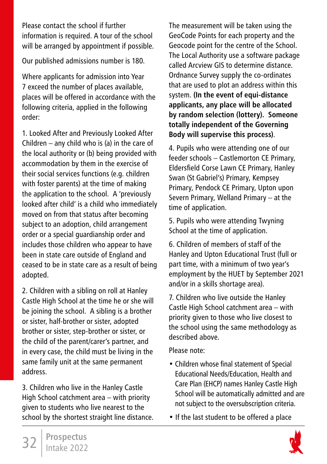Please contact the school if further information is required. A tour of the school will be arranged by appointment if possible.

Our published admissions number is 180.

Where applicants for admission into Year 7 exceed the number of places available, places will be offered in accordance with the following criteria, applied in the following order:

1. Looked After and Previously Looked After Children – any child who is (a) in the care of the local authority or (b) being provided with accommodation by them in the exercise of their social services functions (e.g. children with foster parents) at the time of making the application to the school. A 'previously looked after child' is a child who immediately moved on from that status after becoming subject to an adoption, child arrangement order or a special guardianship order and includes those children who appear to have been in state care outside of England and ceased to be in state care as a result of being adopted.

2. Children with a sibling on roll at Hanley Castle High School at the time he or she will be joining the school. A sibling is a brother or sister, half-brother or sister, adopted brother or sister, step-brother or sister, or the child of the parent/carer's partner, and in every case, the child must be living in the same family unit at the same permanent address.

3. Children who live in the Hanley Castle High School catchment area – with priority given to students who live nearest to the school by the shortest straight line distance. The measurement will be taken using the GeoCode Points for each property and the Geocode point for the centre of the School. The Local Authority use a software package called Arcview GIS to determine distance. Ordnance Survey supply the co-ordinates that are used to plot an address within this system. **(In the event of equi-distance applicants, any place will be allocated by random selection (lottery). Someone totally independent of the Governing Body will supervise this process)**.

4. Pupils who were attending one of our feeder schools – Castlemorton CE Primary, Eldersfield Corse Lawn CE Primary, Hanley Swan (St Gabriel's) Primary, Kempsey Primary, Pendock CE Primary, Upton upon Severn Primary, Welland Primary – at the time of application.

5. Pupils who were attending Twyning School at the time of application.

6. Children of members of staff of the Hanley and Upton Educational Trust (full or part time, with a minimum of two year's employment by the HUET by September 2021 and/or in a skills shortage area).

7. Children who live outside the Hanley Castle High School catchment area – with priority given to those who live closest to the school using the same methodology as described above.

Please note:

- Children whose final statement of Special Educational Needs/Education, Health and Care Plan (EHCP) names Hanley Castle High School will be automatically admitted and are not subject to the oversubscription criteria.
- If the last student to be offered a place

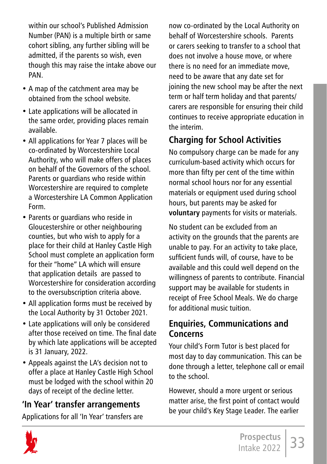within our school's Published Admission Number (PAN) is a multiple birth or same cohort sibling, any further sibling will be admitted, if the parents so wish, even though this may raise the intake above our PAN.

- A map of the catchment area may be obtained from the school website.
- Late applications will be allocated in the same order, providing places remain available.
- All applications for Year 7 places will be co-ordinated by Worcestershire Local Authority, who will make offers of places on behalf of the Governors of the school. Parents or guardians who reside within Worcestershire are required to complete a Worcestershire LA Common Application Form.
- Parents or guardians who reside in Gloucestershire or other neighbouring counties, but who wish to apply for a place for their child at Hanley Castle High School must complete an application form for their "home" LA which will ensure that application details are passed to Worcestershire for consideration according to the oversubscription criteria above.
- All application forms must be received by the Local Authority by 31 October 2021.
- Late applications will only be considered after those received on time. The final date by which late applications will be accepted is 31 January, 2022.
- Appeals against the LA's decision not to offer a place at Hanley Castle High School must be lodged with the school within 20 days of receipt of the decline letter.

### **'In Year' transfer arrangements**

Applications for all 'In Year' transfers are

now co-ordinated by the Local Authority on behalf of Worcestershire schools. Parents or carers seeking to transfer to a school that does not involve a house move, or where there is no need for an immediate move, need to be aware that any date set for joining the new school may be after the next term or half term holiday and that parents/ carers are responsible for ensuring their child continues to receive appropriate education in the interim.

# **Charging for School Activities**

No compulsory charge can be made for any curriculum-based activity which occurs for more than fifty per cent of the time within normal school hours nor for any essential materials or equipment used during school hours, but parents may be asked for **voluntary** payments for visits or materials.

No student can be excluded from an activity on the grounds that the parents are unable to pay. For an activity to take place, sufficient funds will, of course, have to be available and this could well depend on the willingness of parents to contribute. Financial support may be available for students in receipt of Free School Meals. We do charge for additional music tuition.

### **Enquiries, Communications and Concerns**

Your child's Form Tutor is best placed for most day to day communication. This can be done through a letter, telephone call or email to the school.

However, should a more urgent or serious matter arise, the first point of contact would be your child's Key Stage Leader. The earlier

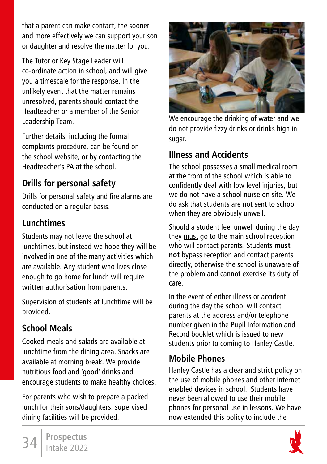that a parent can make contact, the sooner and more effectively we can support your son or daughter and resolve the matter for you.

The Tutor or Key Stage Leader will co-ordinate action in school, and will give you a timescale for the response. In the unlikely event that the matter remains unresolved, parents should contact the Headteacher or a member of the Senior Leadership Team.

Further details, including the formal complaints procedure, can be found on the school website, or by contacting the Headteacher's PA at the school.

# **Drills for personal safety**

Drills for personal safety and fire alarms are conducted on a regular basis.

# **Lunchtimes**

Students may not leave the school at lunchtimes, but instead we hope they will be involved in one of the many activities which are available. Any student who lives close enough to go home for lunch will require written authorisation from parents.

Supervision of students at lunchtime will be provided.

# **School Meals**

Cooked meals and salads are available at lunchtime from the dining area. Snacks are available at morning break. We provide nutritious food and 'good' drinks and encourage students to make healthy choices.

For parents who wish to prepare a packed lunch for their sons/daughters, supervised dining facilities will be provided.



We encourage the drinking of water and we do not provide fizzy drinks or drinks high in sugar.

## **Illness and Accidents**

The school possesses a small medical room at the front of the school which is able to confidently deal with low level injuries, but we do not have a school nurse on site. We do ask that students are not sent to school when they are obviously unwell.

Should a student feel unwell during the day they must go to the main school reception who will contact parents. Students **must not** bypass reception and contact parents directly, otherwise the school is unaware of the problem and cannot exercise its duty of care.

In the event of either illness or accident during the day the school will contact parents at the address and/or telephone number given in the Pupil Information and Record booklet which is issued to new students prior to coming to Hanley Castle.

### **Mobile Phones**

Hanley Castle has a clear and strict policy on the use of mobile phones and other internet enabled devices in school. Students have never been allowed to use their mobile phones for personal use in lessons. We have now extended this policy to include the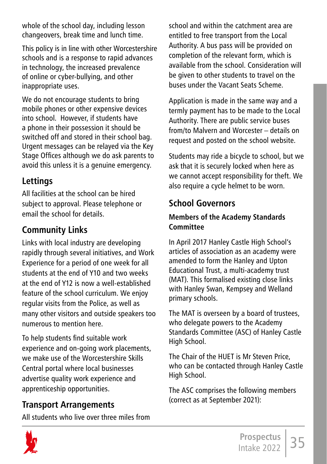whole of the school day, including lesson changeovers, break time and lunch time.

This policy is in line with other Worcestershire schools and is a response to rapid advances in technology, the increased prevalence of online or cyber-bullying, and other inappropriate uses.

We do not encourage students to bring mobile phones or other expensive devices into school. However, if students have a phone in their possession it should be switched off and stored in their school bag. Urgent messages can be relayed via the Key Stage Offices although we do ask parents to avoid this unless it is a genuine emergency.

### **Lettings**

All facilities at the school can be hired subject to approval. Please telephone or email the school for details.

## **Community Links**

Links with local industry are developing rapidly through several initiatives, and Work Experience for a period of one week for all students at the end of Y10 and two weeks at the end of Y12 is now a well-established feature of the school curriculum. We enjoy regular visits from the Police, as well as many other visitors and outside speakers too numerous to mention here.

To help students find suitable work experience and on-going work placements, we make use of the Worcestershire Skills Central portal where local businesses advertise quality work experience and apprenticeship opportunities.

## **Transport Arrangements**

All students who live over three miles from

school and within the catchment area are entitled to free transport from the Local Authority. A bus pass will be provided on completion of the relevant form, which is available from the school. Consideration will be given to other students to travel on the buses under the Vacant Seats Scheme.

Application is made in the same way and a termly payment has to be made to the Local Authority. There are public service buses from/to Malvern and Worcester – details on request and posted on the school website.

Students may ride a bicycle to school, but we ask that it is securely locked when here as we cannot accept responsibility for theft. We also require a cycle helmet to be worn.

# **School Governors**

### **Members of the Academy Standards Committee**

In April 2017 Hanley Castle High School's articles of association as an academy were amended to form the Hanley and Upton Educational Trust, a multi-academy trust (MAT). This formalised existing close links with Hanley Swan, Kempsey and Welland primary schools.

The MAT is overseen by a board of trustees, who delegate powers to the Academy Standards Committee (ASC) of Hanley Castle High School.

The Chair of the HUET is Mr Steven Price, who can be contacted through Hanley Castle High School.

The ASC comprises the following members (correct as at September 2021):

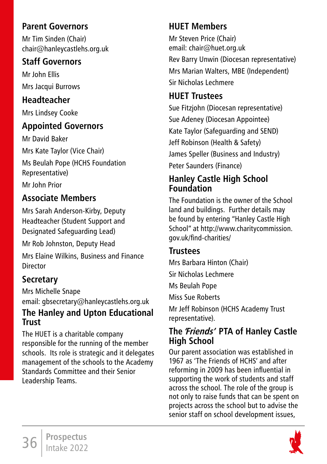### **Parent Governors**

Mr Tim Sinden (Chair) chair@hanleycastlehs.org.uk

### **Staff Governors**

Mr John Ellis Mrs Jacqui Burrows

# **Headteacher**

Mrs Lindsey Cooke

## **Appointed Governors**

Mr David Baker Mrs Kate Taylor (Vice Chair) Ms Beulah Pope (HCHS Foundation Representative)

Mr John Prior

# **Associate Members**

Mrs Sarah Anderson-Kirby, Deputy Headteacher (Student Support and Designated Safeguarding Lead)

Mr Rob Johnston, Deputy Head

Mrs Elaine Wilkins, Business and Finance Director

# **Secretary**

Mrs Michelle Snape email: gbsecretary@hanleycastlehs.org.uk **The Hanley and Upton Educational Trust** 

The HUET is a charitable company responsible for the running of the member schools. Its role is strategic and it delegates management of the schools to the Academy Standards Committee and their Senior Leadership Teams.

# **HUET Members**

Mr Steven Price (Chair) email: chair@huet.org.uk

Rev Barry Unwin (Diocesan representative) Mrs Marian Walters, MBE (Independent) Sir Nicholas Lechmere

# **HUET Trustees**

Sue Fitzjohn (Diocesan representative) Sue Adeney (Diocesan Appointee) Kate Taylor (Safeguarding and SEND) Jeff Robinson (Health & Safety) James Speller (Business and Industry) Peter Saunders (Finance)

### **Hanley Castle High School Foundation**

The Foundation is the owner of the School land and buildings. Further details may be found by entering "Hanley Castle High School" at http://www.charitycommission. gov.uk/find-charities/

## **Trustees**

Mrs Barbara Hinton (Chair) Sir Nicholas Lechmere Ms Beulah Pope Miss Sue Roberts

Mr Jeff Robinson (HCHS Academy Trust representative).

### **The 'Friends' PTA of Hanley Castle High School**

Our parent association was established in 1967 as 'The Friends of HCHS' and after reforming in 2009 has been influential in supporting the work of students and staff across the school. The role of the group is not only to raise funds that can be spent on projects across the school but to advise the senior staff on school development issues,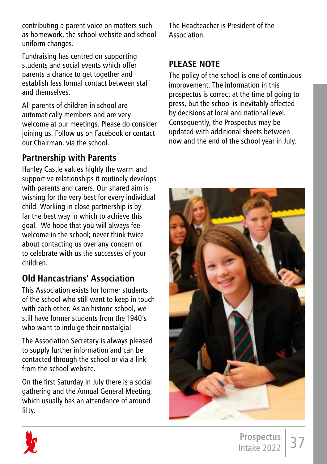contributing a parent voice on matters such as homework, the school website and school uniform changes.

Fundraising has centred on supporting students and social events which offer parents a chance to get together and establish less formal contact between staff and themselves.

All parents of children in school are automatically members and are very welcome at our meetings. Please do consider joining us. Follow us on Facebook or contact our Chairman, via the school.

### **Partnership with Parents**

Hanley Castle values highly the warm and supportive relationships it routinely develops with parents and carers. Our shared aim is wishing for the very best for every individual child. Working in close partnership is by far the best way in which to achieve this goal. We hope that you will always feel welcome in the school; never think twice about contacting us over any concern or to celebrate with us the successes of your children.

## **Old Hancastrians' Association**

This Association exists for former students of the school who still want to keep in touch with each other. As an historic school, we still have former students from the 1940's who want to indulge their nostalgia!

The Association Secretary is always pleased to supply further information and can be contacted through the school or via a link from the school website.

On the first Saturday in July there is a social gathering and the Annual General Meeting, which usually has an attendance of around fifty.

The Headteacher is President of the Association.

### **PLEASE NOTE**

The policy of the school is one of continuous improvement. The information in this prospectus is correct at the time of going to press, but the school is inevitably affected by decisions at local and national level. Consequently, the Prospectus may be updated with additional sheets between now and the end of the school year in July.



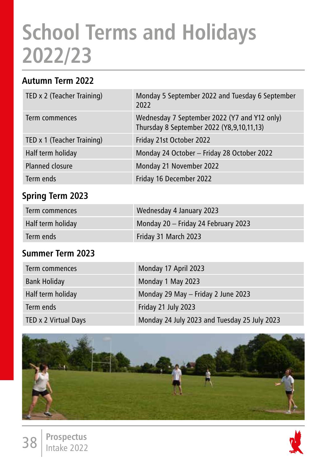# **School Terms and Holidays 2022/23**

### **Autumn Term 2022**

| TED x 2 (Teacher Training) | Monday 5 September 2022 and Tuesday 6 September<br>2022                                   |
|----------------------------|-------------------------------------------------------------------------------------------|
| Term commences             | Wednesday 7 September 2022 (Y7 and Y12 only)<br>Thursday 8 September 2022 (Y8,9,10,11,13) |
| TED x 1 (Teacher Training) | Friday 21st October 2022                                                                  |
| Half term holiday          | Monday 24 October - Friday 28 October 2022                                                |
| Planned closure            | Monday 21 November 2022                                                                   |
| Term ends                  | Friday 16 December 2022                                                                   |

## **Spring Term 2023**

| Term commences    | Wednesday 4 January 2023            |
|-------------------|-------------------------------------|
| Half term holiday | Monday 20 - Friday 24 February 2023 |
| Term ends         | Friday 31 March 2023                |

### **Summer Term 2023**

38 **Prospectus** Intake 2022

| Term commences       | Monday 17 April 2023                         |
|----------------------|----------------------------------------------|
| <b>Bank Holiday</b>  | Monday 1 May 2023                            |
| Half term holiday    | Monday 29 May - Friday 2 June 2023           |
| Term ends            | Friday 21 July 2023                          |
| TED x 2 Virtual Days | Monday 24 July 2023 and Tuesday 25 July 2023 |

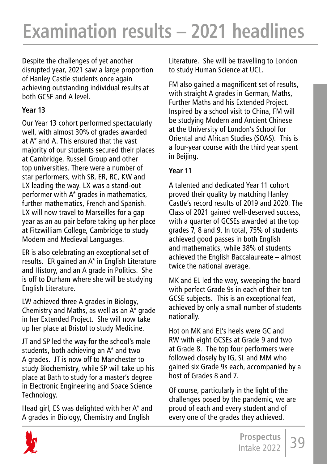Despite the challenges of yet another disrupted year, 2021 saw a large proportion of Hanley Castle students once again achieving outstanding individual results at both GCSE and A level.

#### **Year 13**

Our Year 13 cohort performed spectacularly well, with almost 30% of grades awarded at A\* and A. This ensured that the vast majority of our students secured their places at Cambridge, Russell Group and other top universities. There were a number of star performers, with SB, ER, RC, KW and LX leading the way. LX was a stand-out performer with A\* grades in mathematics, further mathematics, French and Spanish. LX will now travel to Marseilles for a gap year as an au pair before taking up her place at Fitzwilliam College, Cambridge to study Modern and Medieval Languages.

ER is also celebrating an exceptional set of results. ER gained an A\* in English Literature and History, and an A grade in Politics. She is off to Durham where she will be studying English Literature.

LW achieved three A grades in Biology, Chemistry and Maths, as well as an A\* grade in her Extended Project. She will now take up her place at Bristol to study Medicine.

JT and SP led the way for the school's male students, both achieving an A\* and two A grades. JT is now off to Manchester to study Biochemistry, while SP will take up his place at Bath to study for a master's degree in Electronic Engineering and Space Science Technology.

Head girl, ES was delighted with her A\* and A grades in Biology, Chemistry and English

Literature. She will be travelling to London to study Human Science at UCL.

FM also gained a magnificent set of results, with straight A grades in German, Maths, Further Maths and his Extended Project. Inspired by a school visit to China, FM will be studying Modern and Ancient Chinese at the University of London's School for Oriental and African Studies (SOAS). This is a four-year course with the third year spent in Beijing.

#### **Year 11**

A talented and dedicated Year 11 cohort proved their quality by matching Hanley Castle's record results of 2019 and 2020. The Class of 2021 gained well-deserved success, with a quarter of GCSEs awarded at the top grades 7, 8 and 9. In total, 75% of students achieved good passes in both English and mathematics, while 38% of students achieved the English Baccalaureate – almost twice the national average.

MK and EL led the way, sweeping the board with perfect Grade 9s in each of their ten GCSE subjects. This is an exceptional feat, achieved by only a small number of students nationally.

Hot on MK and EL's heels were GC and RW with eight GCSEs at Grade 9 and two at Grade 8. The top four performers were followed closely by IG, SL and MM who gained six Grade 9s each, accompanied by a host of Grades 8 and 7.

Of course, particularly in the light of the challenges posed by the pandemic, we are proud of each and every student and of every one of the grades they achieved.

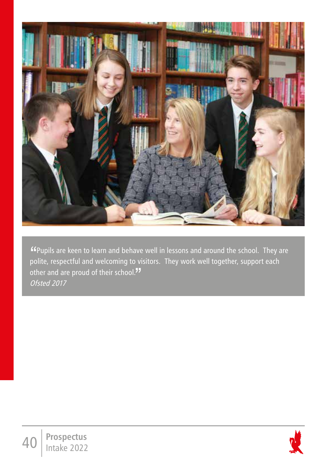

"Pupils are keen to learn and behave well in lessons and around the school. They are polite, respectful and welcoming to visitors. They work well together, support each other and are proud of their school." Ofsted 2017

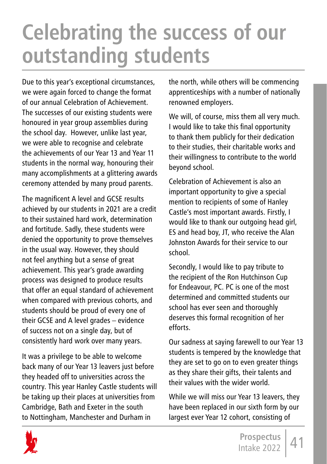# **Celebrating the success of our outstanding students**

Due to this year's exceptional circumstances, we were again forced to change the format of our annual Celebration of Achievement. The successes of our existing students were honoured in year group assemblies during the school day. However, unlike last year, we were able to recognise and celebrate the achievements of our Year 13 and Year 11 students in the normal way, honouring their many accomplishments at a glittering awards ceremony attended by many proud parents.

The magnificent A level and GCSE results achieved by our students in 2021 are a credit to their sustained hard work, determination and fortitude. Sadly, these students were denied the opportunity to prove themselves in the usual way. However, they should not feel anything but a sense of great achievement. This year's grade awarding process was designed to produce results that offer an equal standard of achievement when compared with previous cohorts, and students should be proud of every one of their GCSE and A level grades – evidence of success not on a single day, but of consistently hard work over many years.

It was a privilege to be able to welcome back many of our Year 13 leavers just before they headed off to universities across the country. This year Hanley Castle students will be taking up their places at universities from Cambridge, Bath and Exeter in the south to Nottingham, Manchester and Durham in

the north, while others will be commencing apprenticeships with a number of nationally renowned employers.

We will, of course, miss them all very much. I would like to take this final opportunity to thank them publicly for their dedication to their studies, their charitable works and their willingness to contribute to the world beyond school.

Celebration of Achievement is also an important opportunity to give a special mention to recipients of some of Hanley Castle's most important awards. Firstly, I would like to thank our outgoing head girl, ES and head boy, JT, who receive the Alan Johnston Awards for their service to our school.

Secondly, I would like to pay tribute to the recipient of the Ron Hutchinson Cup for Endeavour, PC. PC is one of the most determined and committed students our school has ever seen and thoroughly deserves this formal recognition of her efforts.

Our sadness at saying farewell to our Year 13 students is tempered by the knowledge that they are set to go on to even greater things as they share their gifts, their talents and their values with the wider world.

While we will miss our Year 13 leavers, they have been replaced in our sixth form by our largest ever Year 12 cohort, consisting of

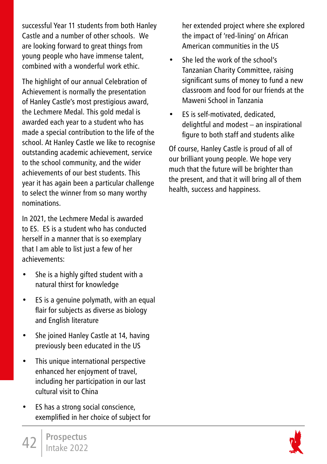successful Year 11 students from both Hanley Castle and a number of other schools. We are looking forward to great things from young people who have immense talent, combined with a wonderful work ethic.

The highlight of our annual Celebration of Achievement is normally the presentation of Hanley Castle's most prestigious award, the Lechmere Medal. This gold medal is awarded each year to a student who has made a special contribution to the life of the school. At Hanley Castle we like to recognise outstanding academic achievement, service to the school community, and the wider achievements of our best students. This year it has again been a particular challenge to select the winner from so many worthy nominations.

In 2021, the Lechmere Medal is awarded to ES. ES is a student who has conducted herself in a manner that is so exemplary that I am able to list just a few of her achievements:

- She is a highly gifted student with a natural thirst for knowledge
- ES is a genuine polymath, with an equal flair for subjects as diverse as biology and English literature
- She joined Hanley Castle at 14, having previously been educated in the US
- This unique international perspective enhanced her enjoyment of travel, including her participation in our last cultural visit to China
- ES has a strong social conscience, exemplified in her choice of subject for

her extended project where she explored the impact of 'red-lining' on African American communities in the US

- She led the work of the school's Tanzanian Charity Committee, raising significant sums of money to fund a new classroom and food for our friends at the Maweni School in Tanzania
- ES is self-motivated, dedicated, delightful and modest – an inspirational figure to both staff and students alike

Of course, Hanley Castle is proud of all of our brilliant young people. We hope very much that the future will be brighter than the present, and that it will bring all of them health, success and happiness.

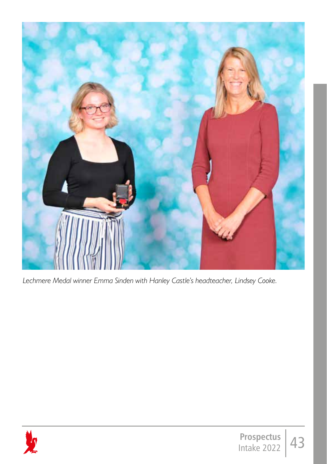

*Lechmere Medal winner Emma Sinden with Hanley Castle's headteacher, Lindsey Cooke.*